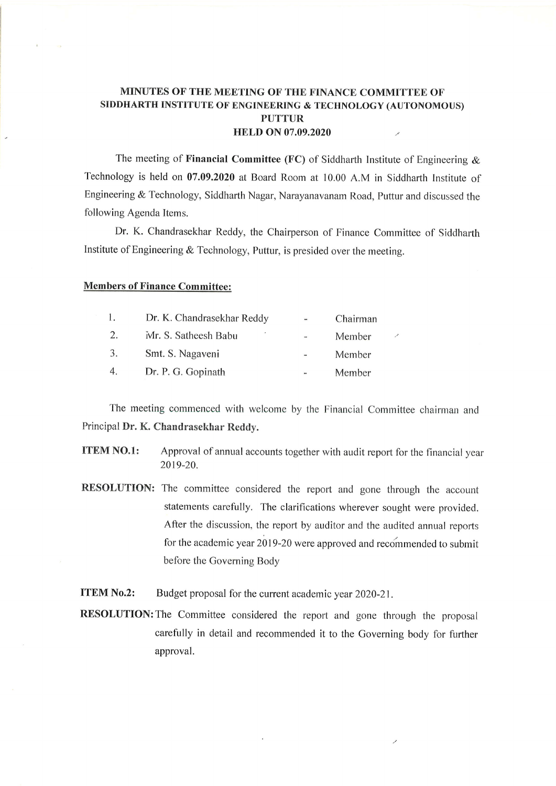## MINUTES OF THE MEETING OF THE FINANCE COMMITTEE OF SIDDHARTH INSTITUTE OF ENGINEERING & TECHNOLOGY (AUTONOMOUS) PUTTUR HELD ON 07.09.2020  $\mathcal{S}$

The meeting of Financial Committee (FC) of Siddharth Institute of Engineering  $\&$ Technology is held on 07.09.2020 at Board Room at 10.00 A.M in Siddharth Institute of Engineering & Technology, Siddharth Nagar, Narayanavanam Road, Puttur and discussed the following Agenda Items.

Dr. K. Chandrasekhar Reddy, the Chairperson of Finance Committee of Siddharth Institute of Engineering & Technology, Puttur, is presided over the meeting.

## Members of Finance Committee:

|                  | Dr. K. Chandrasekhar Reddy | $\blacksquare$           | Chairman |  |
|------------------|----------------------------|--------------------------|----------|--|
| 2.               | Mr. S. Satheesh Babu       | $\overline{\phantom{a}}$ | Member   |  |
| 3.               | Smt. S. Nagaveni           | $\overline{\phantom{0}}$ | Member   |  |
| $\overline{4}$ . | Dr. P. G. Gopinath         | $\mathbf{r}$             | Member   |  |

The meeting commenced with welcome by the Financial Committee chairman and Principal Dr. K. Chandrasekhar Reddy.

- ITEM NO.l: Approval of annual accounts together with audit report for the financial year 2019-20.
- RESOLUTION: The committee considered the report and gone through the account statements carefully. The clarifications wherever sought were provided. After the discussion, the report by auditor and the audited annual reports for the academic year 2019-20 were approved and recommended to submit before the Governing Body

ITEM No.2: Budget proposal for the current academic year 2020-21.

RESOLUTION: The Committee considered the report and gone through the proposal carefully in detail and recommended it to the Governing body for further approval.